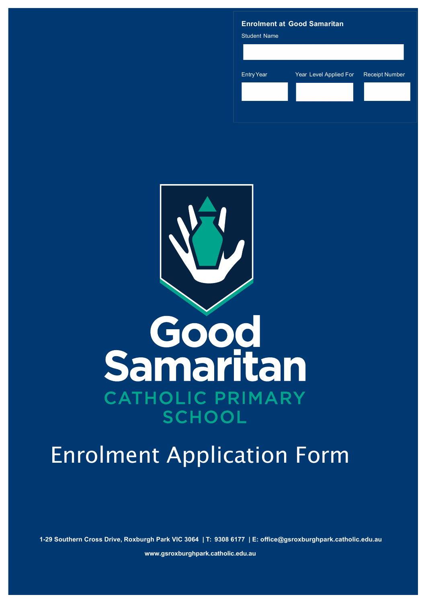# **Enrolment at Good Samaritan** Student Name EntryYear Year Level Applied For Receipt Number



# Enrolment Application Form

**1-29 Southern Cross Drive, Roxburgh Park VIC 3064 | T: 9308 6177 | E: office@gsroxburghpark.catholic.edu.au** 

**www.gsroxburghpark.catholic.edu.au**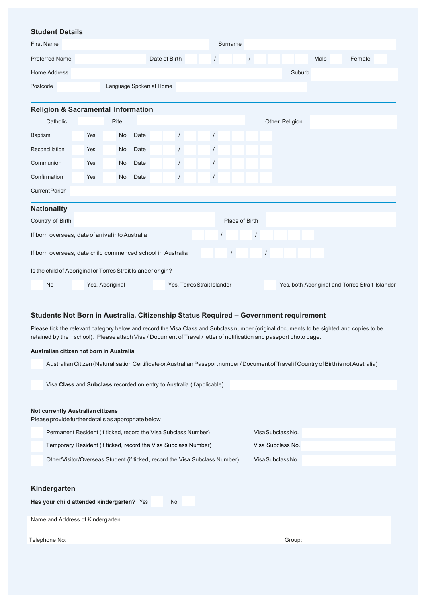## **Student Details**

| <b>Student Details</b>                                       |     |                 |                         |                             |            |            |                |            |                |        |      |                                                 |  |
|--------------------------------------------------------------|-----|-----------------|-------------------------|-----------------------------|------------|------------|----------------|------------|----------------|--------|------|-------------------------------------------------|--|
| <b>First Name</b>                                            |     |                 |                         |                             |            | Surname    |                |            |                |        |      |                                                 |  |
| <b>Preferred Name</b>                                        |     |                 |                         | Date of Birth               | $\sqrt{2}$ |            | $\sqrt{ }$     |            |                |        | Male | Female                                          |  |
| Home Address                                                 |     |                 |                         |                             |            |            |                |            |                | Suburb |      |                                                 |  |
| Postcode                                                     |     |                 | Language Spoken at Home |                             |            |            |                |            |                |        |      |                                                 |  |
|                                                              |     |                 |                         |                             |            |            |                |            |                |        |      |                                                 |  |
| <b>Religion &amp; Sacramental Information</b>                |     |                 |                         |                             |            |            |                |            |                |        |      |                                                 |  |
| Catholic                                                     |     | <b>Rite</b>     |                         |                             |            |            |                |            | Other Religion |        |      |                                                 |  |
| <b>Baptism</b>                                               | Yes | No              | Date                    | $\sqrt{ }$                  | $\sqrt{2}$ |            |                |            |                |        |      |                                                 |  |
| Reconciliation                                               | Yes | No              | Date                    | $\sqrt{2}$                  | $\sqrt{2}$ |            |                |            |                |        |      |                                                 |  |
| Communion                                                    | Yes | No              | Date                    | $\sqrt{ }$                  | $\sqrt{2}$ |            |                |            |                |        |      |                                                 |  |
| Confirmation                                                 | Yes | No              | Date                    | $\frac{1}{2}$               | $\sqrt{2}$ |            |                |            |                |        |      |                                                 |  |
| <b>CurrentParish</b>                                         |     |                 |                         |                             |            |            |                |            |                |        |      |                                                 |  |
| <b>Nationality</b>                                           |     |                 |                         |                             |            |            |                |            |                |        |      |                                                 |  |
| Country of Birth                                             |     |                 |                         |                             |            |            | Place of Birth |            |                |        |      |                                                 |  |
| If born overseas, date of arrival into Australia             |     |                 |                         |                             | $\prime$   |            | $\prime$       |            |                |        |      |                                                 |  |
| If born overseas, date child commenced school in Australia   |     |                 |                         |                             |            | $\sqrt{2}$ |                | $\sqrt{2}$ |                |        |      |                                                 |  |
| Is the child of Aboriginal or Torres Strait Islander origin? |     |                 |                         |                             |            |            |                |            |                |        |      |                                                 |  |
| No                                                           |     | Yes, Aboriginal |                         | Yes, Torres Strait Islander |            |            |                |            |                |        |      | Yes, both Aboriginal and Torres Strait Islander |  |

# **Students Not Born in Australia, Citizenship Status Required – Government requirement**

Please tick the relevant category below and record the Visa Class and Subclass number (original documents to be sighted and copies to be retained by the school). Please attach Visa / Document of Travel / letter of notification and passport photo page.

#### **Australian citizen not born in Australia**

Australian Citizen (Naturalisation Certificate or Australian Passport number / Document of Travel if Country of Birth is not Australia)

Visa **Class** and **Subclass** recorded on entry to Australia (ifapplicable)

# **Not currently Australiancitizens**

Please provide further details as appropriate below

Permanent Resident (if ticked, record the Visa Subclass Number) Visa Subclass No. Temporary Resident (if ticked, record the Visa Subclass Number) Visa Subclass No. Other/Visitor/Overseas Student (if ticked, record the Visa Subclass Number) Visa Subclass No.

| Kindergarten |  |
|--------------|--|
|              |  |

**Has your child attended kindergarten?** Yes No

Name and Address of Kindergarten

Telephone No: Group: Group: Group: Group: Group: Group: Group: Group: Group: Group: Group: Group: Group: Group: Group: Group: Group: Group: Group: Group: Group: Group: Group: Group: Group: Group: Group: Group: Group: Group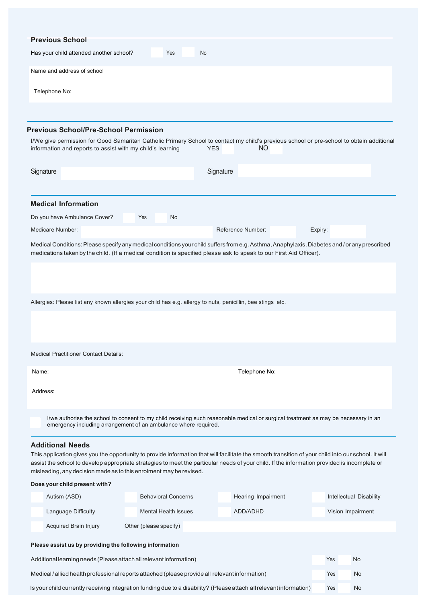|           | <b>Previous School</b>                                                                                                           |                                                                                                             |                                                                                                                                              |                                                                                                                                                     |  |
|-----------|----------------------------------------------------------------------------------------------------------------------------------|-------------------------------------------------------------------------------------------------------------|----------------------------------------------------------------------------------------------------------------------------------------------|-----------------------------------------------------------------------------------------------------------------------------------------------------|--|
|           | Has your child attended another school?                                                                                          | No<br>Yes                                                                                                   |                                                                                                                                              |                                                                                                                                                     |  |
|           | Name and address of school                                                                                                       |                                                                                                             |                                                                                                                                              |                                                                                                                                                     |  |
|           | Telephone No:                                                                                                                    |                                                                                                             |                                                                                                                                              |                                                                                                                                                     |  |
|           |                                                                                                                                  |                                                                                                             |                                                                                                                                              |                                                                                                                                                     |  |
|           | <b>Previous School/Pre-School Permission</b>                                                                                     |                                                                                                             |                                                                                                                                              |                                                                                                                                                     |  |
|           |                                                                                                                                  |                                                                                                             |                                                                                                                                              | I/We give permission for Good Samaritan Catholic Primary School to contact my child's previous school or pre-school to obtain additional            |  |
|           | information and reports to assist with my child's learning                                                                       |                                                                                                             | NO.<br><b>YES</b>                                                                                                                            |                                                                                                                                                     |  |
| Signature |                                                                                                                                  |                                                                                                             | Signature                                                                                                                                    |                                                                                                                                                     |  |
|           |                                                                                                                                  |                                                                                                             |                                                                                                                                              |                                                                                                                                                     |  |
|           | <b>Medical Information</b>                                                                                                       |                                                                                                             |                                                                                                                                              |                                                                                                                                                     |  |
|           | Do you have Ambulance Cover?                                                                                                     | Yes<br>No                                                                                                   |                                                                                                                                              |                                                                                                                                                     |  |
|           | Medicare Number:                                                                                                                 |                                                                                                             | Reference Number:                                                                                                                            | Expiry:                                                                                                                                             |  |
|           |                                                                                                                                  |                                                                                                             |                                                                                                                                              | Medical Conditions: Please specify any medical conditions your child suffers from e.g. Asthma, Anaphylaxis, Diabetes and / or any prescribed        |  |
|           |                                                                                                                                  |                                                                                                             | medications taken by the child. (If a medical condition is specified please ask to speak to our First Aid Officer).                          |                                                                                                                                                     |  |
|           |                                                                                                                                  |                                                                                                             |                                                                                                                                              |                                                                                                                                                     |  |
|           |                                                                                                                                  |                                                                                                             |                                                                                                                                              |                                                                                                                                                     |  |
|           |                                                                                                                                  |                                                                                                             |                                                                                                                                              |                                                                                                                                                     |  |
|           |                                                                                                                                  | Allergies: Please list any known allergies your child has e.g. allergy to nuts, penicillin, bee stings etc. |                                                                                                                                              |                                                                                                                                                     |  |
|           |                                                                                                                                  |                                                                                                             |                                                                                                                                              |                                                                                                                                                     |  |
|           |                                                                                                                                  |                                                                                                             |                                                                                                                                              |                                                                                                                                                     |  |
|           | <b>Medical Practitioner Contact Details:</b>                                                                                     |                                                                                                             |                                                                                                                                              |                                                                                                                                                     |  |
|           |                                                                                                                                  |                                                                                                             |                                                                                                                                              |                                                                                                                                                     |  |
| Name:     |                                                                                                                                  |                                                                                                             | Telephone No:                                                                                                                                |                                                                                                                                                     |  |
| Address:  |                                                                                                                                  |                                                                                                             |                                                                                                                                              |                                                                                                                                                     |  |
|           |                                                                                                                                  |                                                                                                             |                                                                                                                                              |                                                                                                                                                     |  |
|           |                                                                                                                                  | emergency including arrangement of an ambulance where required.                                             | I/we authorise the school to consent to my child receiving such reasonable medical or surgical treatment as may be necessary in an           |                                                                                                                                                     |  |
|           |                                                                                                                                  |                                                                                                             |                                                                                                                                              |                                                                                                                                                     |  |
|           | <b>Additional Needs</b>                                                                                                          |                                                                                                             |                                                                                                                                              | This application gives you the opportunity to provide information that will facilitate the smooth transition of your child into our school. It will |  |
|           |                                                                                                                                  | misleading, any decision made as to this enrolment may be revised.                                          | assist the school to develop appropriate strategies to meet the particular needs of your child. If the information provided is incomplete or |                                                                                                                                                     |  |
|           | Does your child present with?                                                                                                    |                                                                                                             |                                                                                                                                              |                                                                                                                                                     |  |
|           | Autism (ASD)                                                                                                                     | <b>Behavioral Concerns</b>                                                                                  | Hearing Impairment                                                                                                                           | Intellectual Disability                                                                                                                             |  |
|           | Language Difficulty                                                                                                              | <b>Mental Health Issues</b>                                                                                 | ADD/ADHD                                                                                                                                     | Vision Impairment                                                                                                                                   |  |
|           | Acquired Brain Injury                                                                                                            | Other (please specify)                                                                                      |                                                                                                                                              |                                                                                                                                                     |  |
|           | Please assist us by providing the following information                                                                          |                                                                                                             |                                                                                                                                              |                                                                                                                                                     |  |
|           | Additional learning needs (Please attach all relevant information)                                                               |                                                                                                             |                                                                                                                                              | Yes<br>No                                                                                                                                           |  |
|           |                                                                                                                                  | Medical / allied health professional reports attached (please provide all relevant information)             |                                                                                                                                              | Yes<br>No                                                                                                                                           |  |
|           | Is your child currently receiving integration funding due to a disability? (Please attach all relevant information)<br>No<br>Yes |                                                                                                             |                                                                                                                                              |                                                                                                                                                     |  |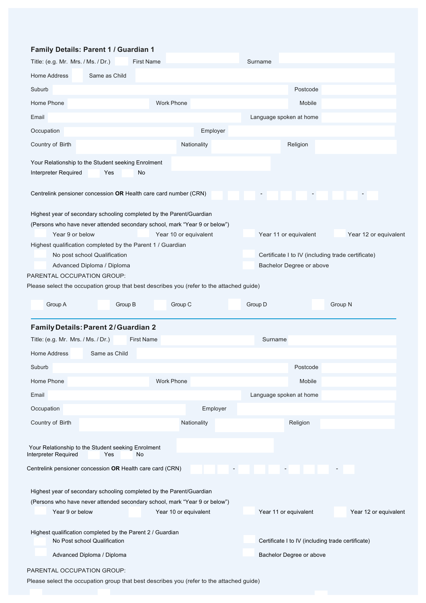# **Family Details: Parent 1 / Guardian 1**

| Title: (e.g. Mr. Mrs. / Ms. / Dr.)                                                                                                                                                                                                                                                                                                                            |                                                            | <b>First Name</b> |                       |          | Surname                  |                                                   |                                                                            |
|---------------------------------------------------------------------------------------------------------------------------------------------------------------------------------------------------------------------------------------------------------------------------------------------------------------------------------------------------------------|------------------------------------------------------------|-------------------|-----------------------|----------|--------------------------|---------------------------------------------------|----------------------------------------------------------------------------|
| Home Address                                                                                                                                                                                                                                                                                                                                                  | Same as Child                                              |                   |                       |          |                          |                                                   |                                                                            |
| Suburb                                                                                                                                                                                                                                                                                                                                                        |                                                            |                   |                       |          |                          | Postcode                                          |                                                                            |
| Home Phone                                                                                                                                                                                                                                                                                                                                                    |                                                            |                   | <b>Work Phone</b>     |          |                          | Mobile                                            |                                                                            |
| Email                                                                                                                                                                                                                                                                                                                                                         |                                                            |                   |                       |          |                          | Language spoken at home                           |                                                                            |
| Occupation                                                                                                                                                                                                                                                                                                                                                    |                                                            |                   |                       | Employer |                          |                                                   |                                                                            |
| Country of Birth                                                                                                                                                                                                                                                                                                                                              |                                                            |                   | Nationality           |          |                          | Religion                                          |                                                                            |
| Your Relationship to the Student seeking Enrolment<br>Interpreter Required                                                                                                                                                                                                                                                                                    | Yes                                                        | No                |                       |          |                          |                                                   |                                                                            |
| Centrelink pensioner concession OR Health care card number (CRN)                                                                                                                                                                                                                                                                                              |                                                            |                   |                       |          | $\overline{\phantom{a}}$ |                                                   | $\overline{\phantom{a}}$                                                   |
| Highest year of secondary schooling completed by the Parent/Guardian<br>(Persons who have never attended secondary school, mark "Year 9 or below")<br>Year 9 or below<br>Highest qualification completed by the Parent 1 / Guardian<br>PARENTAL OCCUPATION GROUP:<br>Please select the occupation group that best describes you (refer to the attached guide) | No post school Qualification<br>Advanced Diploma / Diploma |                   | Year 10 or equivalent |          |                          | Year 11 or equivalent<br>Bachelor Degree or above | Year 12 or equivalent<br>Certificate I to IV (including trade certificate) |
|                                                                                                                                                                                                                                                                                                                                                               |                                                            |                   |                       |          |                          |                                                   |                                                                            |
| Group A                                                                                                                                                                                                                                                                                                                                                       | Group B                                                    |                   | Group C               |          | Group D                  |                                                   | Group N                                                                    |
| <b>Family Details: Parent 2/Guardian 2</b><br>Title: (e.g. Mr. Mrs. / Ms. / Dr.)<br>Home Address                                                                                                                                                                                                                                                              | Same as Child                                              | <b>First Name</b> |                       |          | Surname                  |                                                   |                                                                            |
| Suburb                                                                                                                                                                                                                                                                                                                                                        |                                                            |                   |                       |          |                          | Postcode                                          |                                                                            |
| Home Phone                                                                                                                                                                                                                                                                                                                                                    |                                                            |                   | <b>Work Phone</b>     |          |                          | Mobile                                            |                                                                            |
| Email                                                                                                                                                                                                                                                                                                                                                         |                                                            |                   |                       |          |                          | Language spoken at home                           |                                                                            |
| Occupation                                                                                                                                                                                                                                                                                                                                                    |                                                            |                   |                       | Employer |                          |                                                   |                                                                            |
| Country of Birth                                                                                                                                                                                                                                                                                                                                              |                                                            |                   | Nationality           |          |                          | Religion                                          |                                                                            |
| Your Relationship to the Student seeking Enrolment<br>Interpreter Required                                                                                                                                                                                                                                                                                    | Yes                                                        | No                |                       |          |                          |                                                   |                                                                            |
|                                                                                                                                                                                                                                                                                                                                                               |                                                            |                   |                       |          |                          |                                                   |                                                                            |
| Centrelink pensioner concession OR Health care card (CRN)<br>Highest year of secondary schooling completed by the Parent/Guardian<br>(Persons who have never attended secondary school, mark "Year 9 or below")<br>Year 9 or below                                                                                                                            |                                                            |                   | Year 10 or equivalent |          |                          | Year 11 or equivalent                             | Year 12 or equivalent                                                      |
| Highest qualification completed by the Parent 2 / Guardian                                                                                                                                                                                                                                                                                                    | No Post school Qualification                               |                   |                       |          |                          |                                                   | Certificate I to IV (including trade certificate)                          |

PARENTAL OCCUPATION GROUP:

Please select the occupation group that best describes you (refer to the attached guide)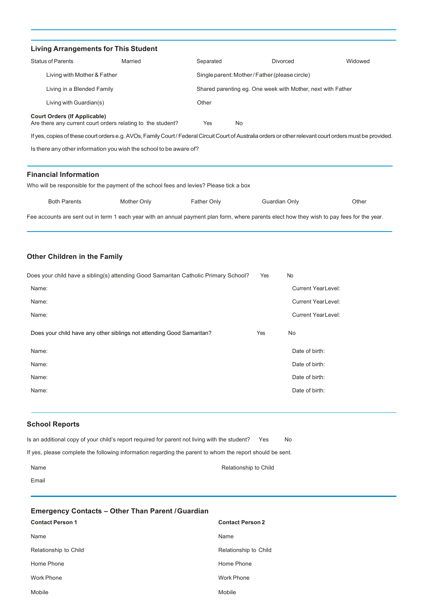| <b>Living Arrangements for This Student</b> |                                                                                                                                                           |                  |                                                             |         |
|---------------------------------------------|-----------------------------------------------------------------------------------------------------------------------------------------------------------|------------------|-------------------------------------------------------------|---------|
| <b>Status of Parents</b>                    | Married                                                                                                                                                   | Separated        | Divorced                                                    | Widowed |
| Living with Mother & Father                 |                                                                                                                                                           |                  | Single parent: Mother/Father (please circle)                |         |
| Living in a Blended Family                  |                                                                                                                                                           |                  | Shared parenting eg. One week with Mother, next with Father |         |
| Living with Guardian(s)                     |                                                                                                                                                           | Other            |                                                             |         |
| <b>Court Orders (If Applicable)</b>         | Are there any current court orders relating to the student?                                                                                               | Yes<br><b>No</b> |                                                             |         |
|                                             | If yes, copies of these court orders e.g. AVOs, Family Court / Federal Circuit Court of Australia orders or other relevant court orders must be provided. |                  |                                                             |         |
|                                             | Is there any other information you wish the school to be aware of?                                                                                        |                  |                                                             |         |
| <b>Financial Information</b>                |                                                                                                                                                           |                  |                                                             |         |
|                                             | Who will be responsible for the payment of the school fees and levies? Please tick a box                                                                  |                  |                                                             |         |
| <b>Both Parents</b>                         | Mother Only                                                                                                                                               | Father Only      | Guardian Only                                               | Other   |
|                                             | Fee accounts are sent out in term 1 each year with an annual payment plan form, where parents elect how they wish to pay fees for the year.               |                  |                                                             |         |
|                                             |                                                                                                                                                           |                  |                                                             |         |

# **Other Children in the Family**

| Does your child have a sibling(s) attending Good Samaritan Catholic Primary School? | Yes | <b>No</b>                 |
|-------------------------------------------------------------------------------------|-----|---------------------------|
| Name:                                                                               |     | <b>Current YearLevel:</b> |
| Name:                                                                               |     | <b>Current YearLevel:</b> |
| Name:                                                                               |     | <b>Current YearLevel:</b> |
| Does your child have any other siblings not attending Good Samaritan?               | Yes | No                        |
| Name:                                                                               |     | Date of birth:            |
| Name:                                                                               |     | Date of birth:            |
| Name:                                                                               |     | Date of birth:            |
| Name:                                                                               |     | Date of birth:            |

# **School Reports**

| Is an additional copy of your child's report required for parent not living with the student?             | Yes | No. |
|-----------------------------------------------------------------------------------------------------------|-----|-----|
| If yes, please complete the following information regarding the parent to whom the report should be sent. |     |     |
| Relationship to Child<br>Name                                                                             |     |     |

# **Emergency Contacts – Other Than Parent /Guardian Contact Person 1 Contact Person 2**

| <b>Contact Person 1</b> | <b>Contact Person 2</b> |
|-------------------------|-------------------------|
| Name                    | Name                    |
| Relationship to Child   | Relationship to Child   |
| Home Phone              | Home Phone              |
| <b>Work Phone</b>       | Work Phone              |
| Mobile                  | Mobile                  |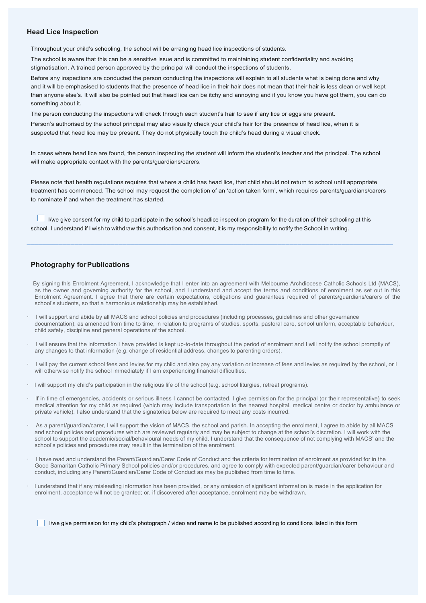#### **Head Lice Inspection**

Throughout your child's schooling, the school will be arranging head lice inspections of students.

The school is aware that this can be a sensitive issue and is committed to maintaining student confidentiality and avoiding stigmatisation. A trained person approved by the principal will conduct the inspections of students.

Before any inspections are conducted the person conducting the inspections will explain to all students what is being done and why and it will be emphasised to students that the presence of head lice in their hair does not mean that their hair is less clean or well kept than anyone else's. It will also be pointed out that head lice can be itchy and annoying and if you know you have got them, you can do something about it.

The person conducting the inspections will check through each student's hair to see if any lice or eggs are present.

Person's authorised by the school principal may also visually check your child's hair for the presence of head lice, when it is suspected that head lice may be present. They do not physically touch the child's head during a visual check.

In cases where head lice are found, the person inspecting the student will inform the student's teacher and the principal. The school will make appropriate contact with the parents/quardians/carers.

Please note that health regulations requires that where a child has head lice, that child should not return to school until appropriate treatment has commenced. The school may request the completion of an 'action taken form', which requires parents/guardians/carers to nominate if and when the treatment has started.

 I/we give consent for my child to participate in the school's headlice inspection program for the duration of their schooling at this school. I understand if I wish to withdraw this authorisation and consent, it is my responsibility to notify the School in writing.

## **Photography forPublications**

 By signing this Enrolment Agreement, I acknowledge that I enter into an agreement with Melbourne Archdiocese Catholic Schools Ltd (MACS), as the owner and governing authority for the school, and I understand and accept the terms and conditions of enrolment as set out in this Enrolment Agreement. I agree that there are certain expectations, obligations and guarantees required of parents/guardians/carers of the school's students, so that a harmonious relationship may be established.

- · I will support and abide by all MACS and school policies and procedures (including processes, guidelines and other governance documentation), as amended from time to time, in relation to programs of studies, sports, pastoral care, school uniform, acceptable behaviour, child safety, discipline and general operations of the school.
- · I will ensure that the information I have provided is kept up-to-date throughout the period of enrolment and I will notify the school promptly of any changes to that information (e.g. change of residential address, changes to parenting orders).
- · I will pay the current school fees and levies for my child and also pay any variation or increase of fees and levies as required by the school, or I will otherwise notify the school immediately if I am experiencing financial difficulties.
- · I will support my child's participation in the religious life of the school (e.g. school liturgies, retreat programs).
- · If in time of emergencies, accidents or serious illness I cannot be contacted, I give permission for the principal (or their representative) to seek medical attention for my child as required (which may include transportation to the nearest hospital, medical centre or doctor by ambulance or private vehicle). I also understand that the signatories below are required to meet any costs incurred.
- As a parent/guardian/carer, I will support the vision of MACS, the school and parish. In accepting the enrolment, I agree to abide by all MACS and school policies and procedures which are reviewed regularly and may be subject to change at the school's discretion. I will work with the school to support the academic/social/behavioural needs of my child. I understand that the consequence of not complying with MACS' and the school's policies and procedures may result in the termination of the enrolment.
- · I have read and understand the Parent/Guardian/Carer Code of Conduct and the criteria for termination of enrolment as provided for in the Good Samaritan Catholic Primary School policies and/or procedures, and agree to comply with expected parent/guardian/carer behaviour and conduct, including any Parent/Guardian/Carer Code of Conduct as may be published from time to time.
- · I understand that if any misleading information has been provided, or any omission of significant information is made in the application for enrolment, acceptance will not be granted; or, if discovered after acceptance, enrolment may be withdrawn.

I/we give permission for my child's photograph / video and name to be published according to conditions listed in this form